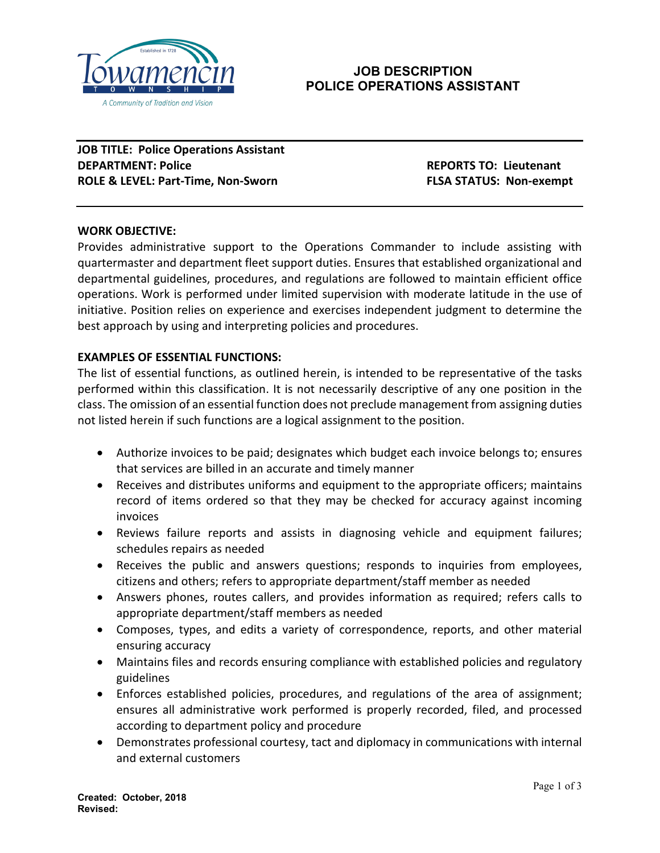

# **JOB DESCRIPTION POLICE OPERATIONS ASSISTANT**

**JOB TITLE: Police Operations Assistant DEPARTMENT: Police REPORTS TO: Lieutenant ROLE & LEVEL: Part-Time, Non-Sworn FLSA STATUS: Non-exempt** 

## **WORK OBJECTIVE:**

Provides administrative support to the Operations Commander to include assisting with quartermaster and department fleet support duties. Ensures that established organizational and departmental guidelines, procedures, and regulations are followed to maintain efficient office operations. Work is performed under limited supervision with moderate latitude in the use of initiative. Position relies on experience and exercises independent judgment to determine the best approach by using and interpreting policies and procedures.

## **EXAMPLES OF ESSENTIAL FUNCTIONS:**

The list of essential functions, as outlined herein, is intended to be representative of the tasks performed within this classification. It is not necessarily descriptive of any one position in the class. The omission of an essential function does not preclude management from assigning duties not listed herein if such functions are a logical assignment to the position.

- Authorize invoices to be paid; designates which budget each invoice belongs to; ensures that services are billed in an accurate and timely manner
- Receives and distributes uniforms and equipment to the appropriate officers; maintains record of items ordered so that they may be checked for accuracy against incoming invoices
- Reviews failure reports and assists in diagnosing vehicle and equipment failures; schedules repairs as needed
- Receives the public and answers questions; responds to inquiries from employees, citizens and others; refers to appropriate department/staff member as needed
- Answers phones, routes callers, and provides information as required; refers calls to appropriate department/staff members as needed
- Composes, types, and edits a variety of correspondence, reports, and other material ensuring accuracy
- Maintains files and records ensuring compliance with established policies and regulatory guidelines
- Enforces established policies, procedures, and regulations of the area of assignment; ensures all administrative work performed is properly recorded, filed, and processed according to department policy and procedure
- Demonstrates professional courtesy, tact and diplomacy in communications with internal and external customers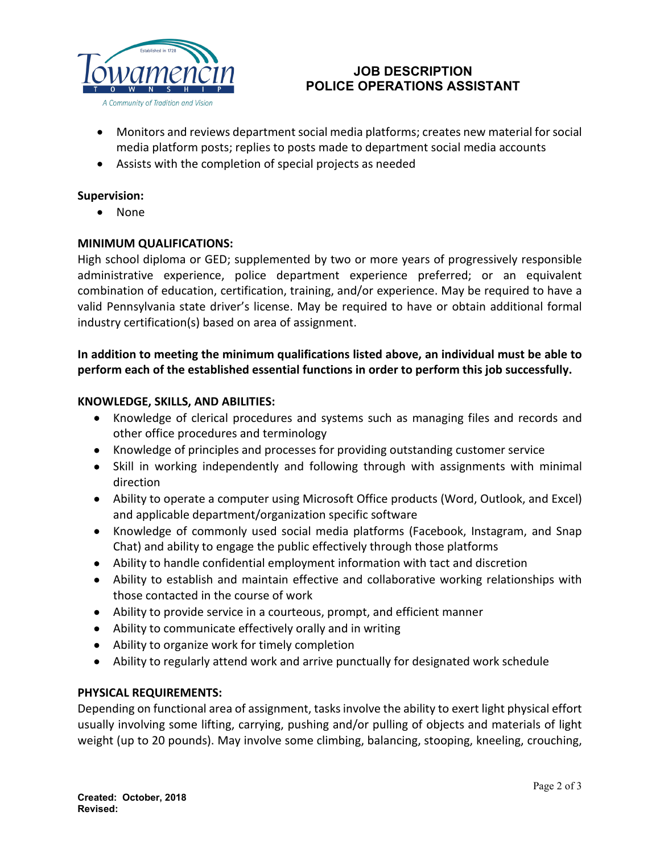

# **JOB DESCRIPTION POLICE OPERATIONS ASSISTANT**

- Monitors and reviews department social media platforms; creates new material for social media platform posts; replies to posts made to department social media accounts
- Assists with the completion of special projects as needed

#### **Supervision:**

• None

#### **MINIMUM QUALIFICATIONS:**

High school diploma or GED; supplemented by two or more years of progressively responsible administrative experience, police department experience preferred; or an equivalent combination of education, certification, training, and/or experience. May be required to have a valid Pennsylvania state driver's license. May be required to have or obtain additional formal industry certification(s) based on area of assignment.

## **In addition to meeting the minimum qualifications listed above, an individual must be able to perform each of the established essential functions in order to perform this job successfully.**

#### **KNOWLEDGE, SKILLS, AND ABILITIES:**

- Knowledge of clerical procedures and systems such as managing files and records and other office procedures and terminology
- Knowledge of principles and processes for providing outstanding customer service
- Skill in working independently and following through with assignments with minimal direction
- Ability to operate a computer using Microsoft Office products (Word, Outlook, and Excel) and applicable department/organization specific software
- Knowledge of commonly used social media platforms (Facebook, Instagram, and Snap Chat) and ability to engage the public effectively through those platforms
- Ability to handle confidential employment information with tact and discretion
- Ability to establish and maintain effective and collaborative working relationships with those contacted in the course of work
- Ability to provide service in a courteous, prompt, and efficient manner
- Ability to communicate effectively orally and in writing
- Ability to organize work for timely completion
- Ability to regularly attend work and arrive punctually for designated work schedule

## **PHYSICAL REQUIREMENTS:**

Depending on functional area of assignment, tasks involve the ability to exert light physical effort usually involving some lifting, carrying, pushing and/or pulling of objects and materials of light weight (up to 20 pounds). May involve some climbing, balancing, stooping, kneeling, crouching,